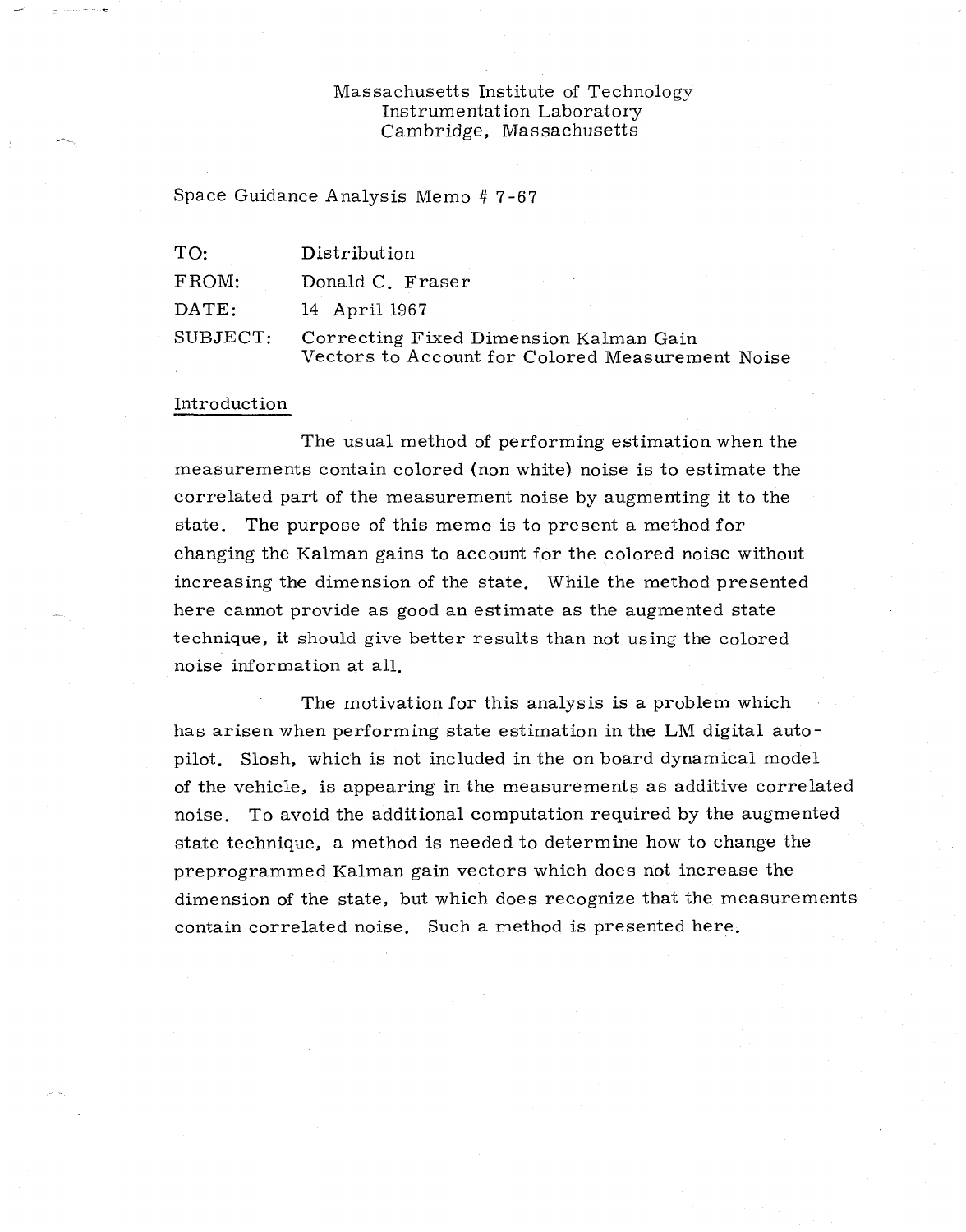## Massachusetts Institute of Technology Instrumentation Laboratory Cambridge, Massachusetts

Space Guidance Analysis Memo # 7-67

| TO:      | Distribution                                                                               |
|----------|--------------------------------------------------------------------------------------------|
| FROM:    | Donald C. Fraser                                                                           |
| DATE:    | 14 April 1967                                                                              |
| SUBJECT: | Correcting Fixed Dimension Kalman Gain<br>Vectors to Account for Colored Measurement Noise |

#### Introduction

The usual method of performing estimation when the measurements contain colored (non white) noise is to estimate the correlated part of the measurement noise by augmenting it to the state. The purpose of this memo is to present a method for changing the Kalman gains to account for the colored noise without increasing the dimension of the state. While the method presented here cannot provide as good an estimate as the augmented state technique, it should give better results than not using the colored noise information at all.

The motivation for this analysis is a problem which has arisen when performing state estimation in the LM digital autopilot. Slosh, which is not included in the on board dynamical model of the vehicle, is appearing in the measurements as additive correlated noise. To avoid the additional computation required by the augmented state technique, a method is needed to determine how to change the preprogrammed Kalman gain vectors which does not increase the dimension of the state, but which does recognize that the measurements contain correlated noise. Such a method is presented here.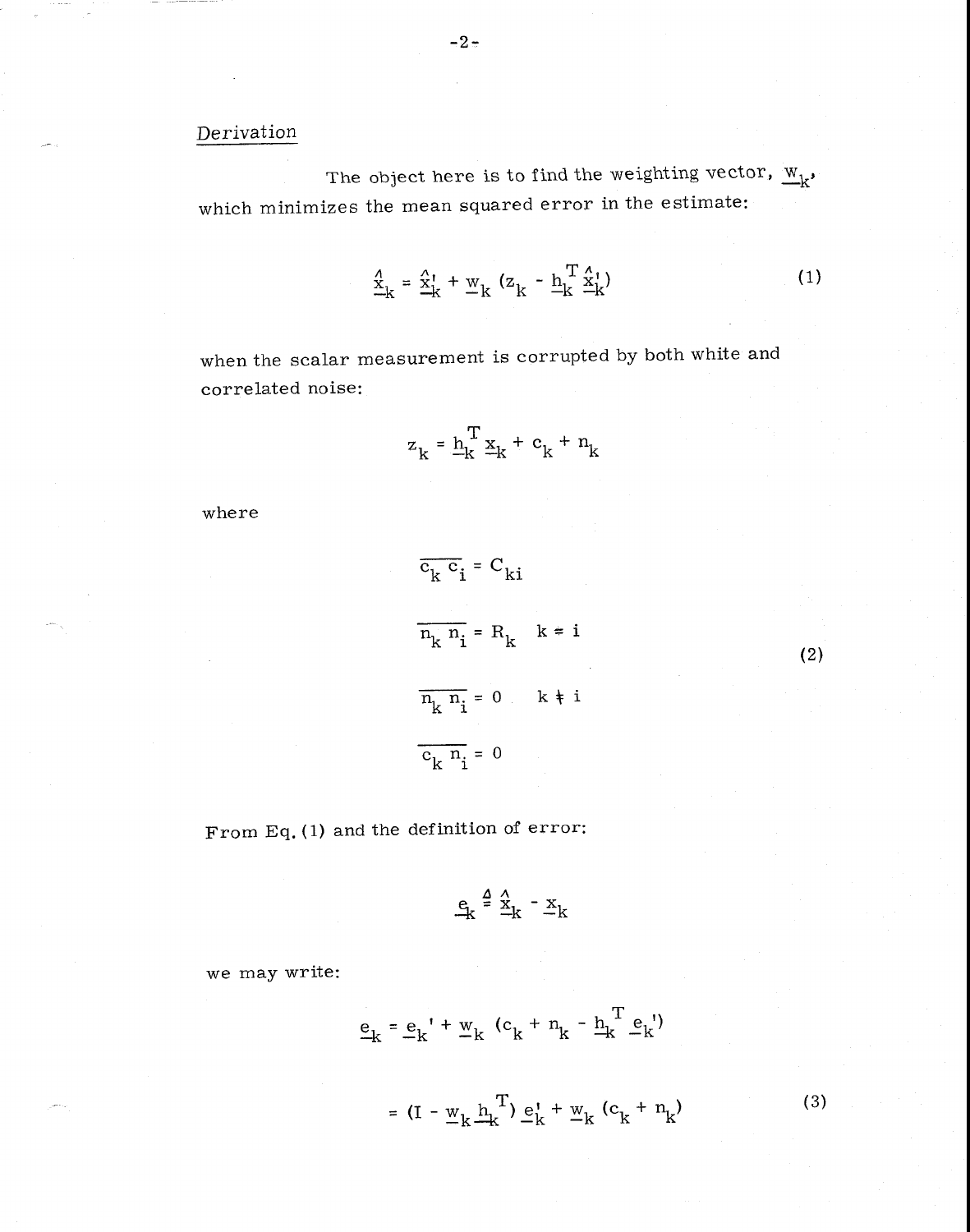# Derivation

The object here is to find the weighting vector,  $\frac{W}{k}$ , which minimizes the mean squared error in the estimate:

$$
\frac{\mathbf{x}}{\mathbf{k}} = \frac{\mathbf{x}}{\mathbf{k}} + \underline{\mathbf{w}}_{\mathbf{k}} \left( \mathbf{z}_{\mathbf{k}} - \underline{\mathbf{h}}_{\mathbf{k}}^{\mathbf{T}} \frac{\mathbf{x}}{\mathbf{k}} \right)
$$
 (1)

when the scalar measurement is corrupted by both white and correlated noise:

$$
z_k = \frac{h_k^T}{k} \underline{x}_k + c_k + n_k
$$

where

$$
\frac{\overline{c_k c_i}}{n_k n_i} = C_{ki}
$$
\n
$$
\frac{n_k n_i}{n_k} = 0 \quad k \neq i
$$
\n
$$
\frac{\overline{c_k n_i}}{n_k} = 0
$$

From Eq. (1) and the definition of error:

$$
\mathbf{e}_k \stackrel{\Delta}{=} \stackrel{\wedge}{\underline{\mathbf{x}}}_k - \underline{\mathbf{x}}_k
$$

we may write:

$$
\underline{\mathbf{e}}_{\mathbf{k}} = \underline{\mathbf{e}}_{\mathbf{k}}' + \underline{\mathbf{w}}_{\mathbf{k}} (\mathbf{c}_{\mathbf{k}} + \mathbf{n}_{\mathbf{k}} - \underline{\mathbf{h}}_{\mathbf{k}}^{\mathbf{T}} \underline{\mathbf{e}}_{\mathbf{k}}')
$$

=  $(I - w_k \frac{h_k^T}{k}) e_k^t + w_k (c_k + n_k)$  (3)

(2)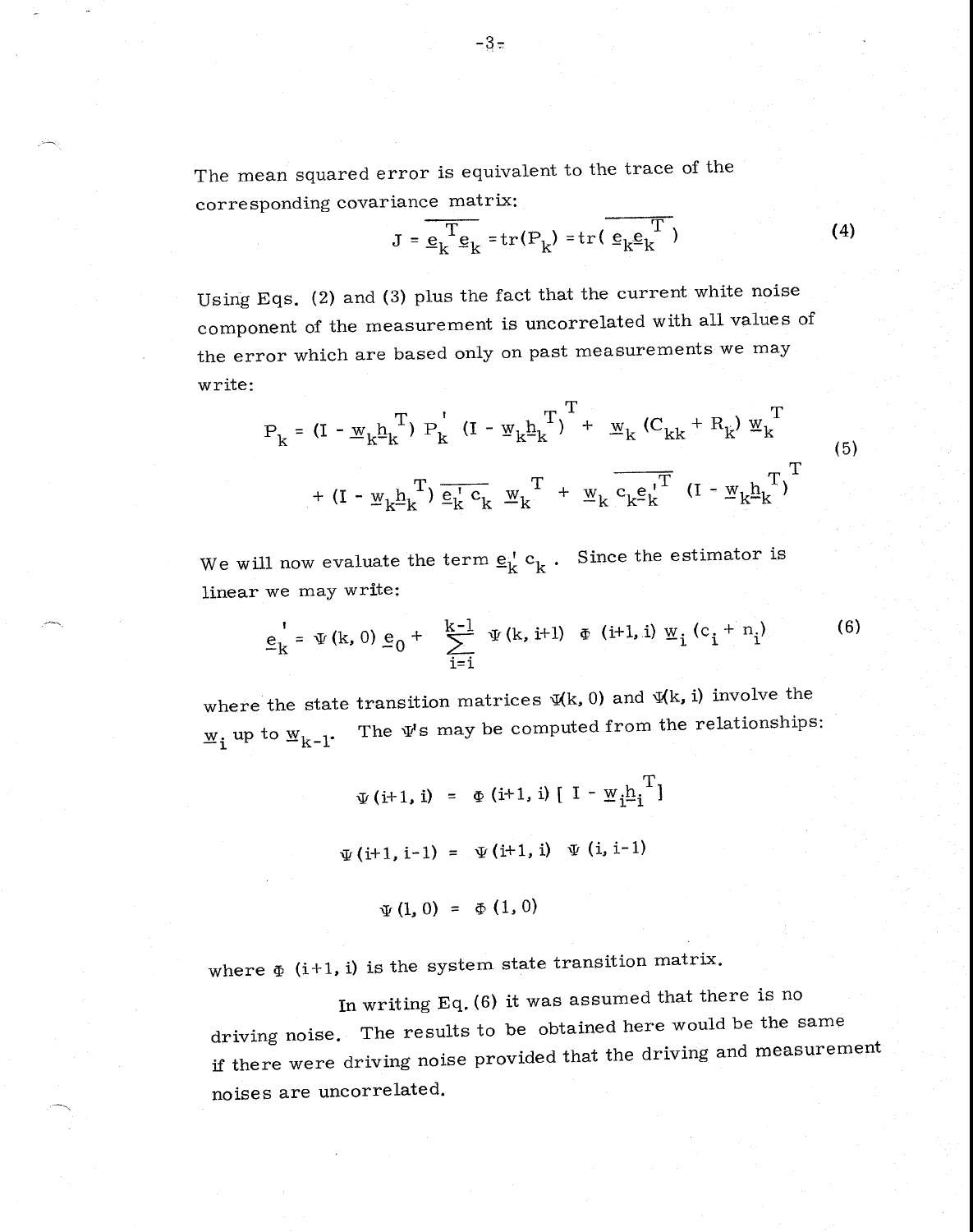The mean squared error is equivalent to the trace of the corresponding covariance matrix:

$$
J = \frac{1}{e_k} \mathbf{E}_k = \text{tr}(P_k) = \text{tr}(\frac{1}{e_k} \mathbf{E}_k^T)
$$
 (4)

Using Eqs. (2) and (3) plus the fact that the current white noise component of the measurement is uncorrelated with all values of the error which are based only on past measurements we may write:

$$
P_{k} = (I - w_{k}b_{k}^{T}) P_{k}^{T} (I - w_{k}b_{k}^{T})^{T} + w_{k} (C_{kk} + R_{k}) w_{k}^{T}
$$
  
+ 
$$
(I - w_{k}b_{k}^{T}) \overline{e_{k}^{T} c_{k}} w_{k}^{T} + w_{k} \overline{c_{k}e_{k}^{T}}^{T} (I - w_{k}b_{k}^{T})^{T}
$$
 (5)

We will now evaluate the term  $\underline{\mathbf{e}}_k^{\phantom{\dag}}$  c<sub>k</sub> . Since the estimator is linear we may write:

$$
\underline{e}_{k}^{\dagger} = \Psi(k, 0) \underline{e}_{0} + \sum_{i=1}^{k-1} \Psi(k, i+1) \Phi(i+1, i) \Psi_{i} (c_{i} + n_{i})
$$
 (6)

where the state transition matrices  $\Psi(k, 0)$  and  $\Psi(k, i)$  involve the  $\underline{w}_i$  up to  $\underline{w}_{k-1}$ . The  $\Psi$ s may be computed from the relationships:

$$
\Psi(i+1, i) = \Phi(i+1, i) [I - \Psi_i \underline{h}_i^T]
$$
  

$$
\Psi(i+1, i-1) = \Psi(i+1, i) \Psi(i, i-1)
$$
  

$$
\Psi(1, 0) = \Phi(1, 0)
$$

where  $\Phi$  (i+1, i) is the system state transition matrix.

In writing Eq. (6) it was assumed that there is no driving noise. The results to be obtained here would be the same if there were driving noise provided that the driving and measurement noises are uncorrelated.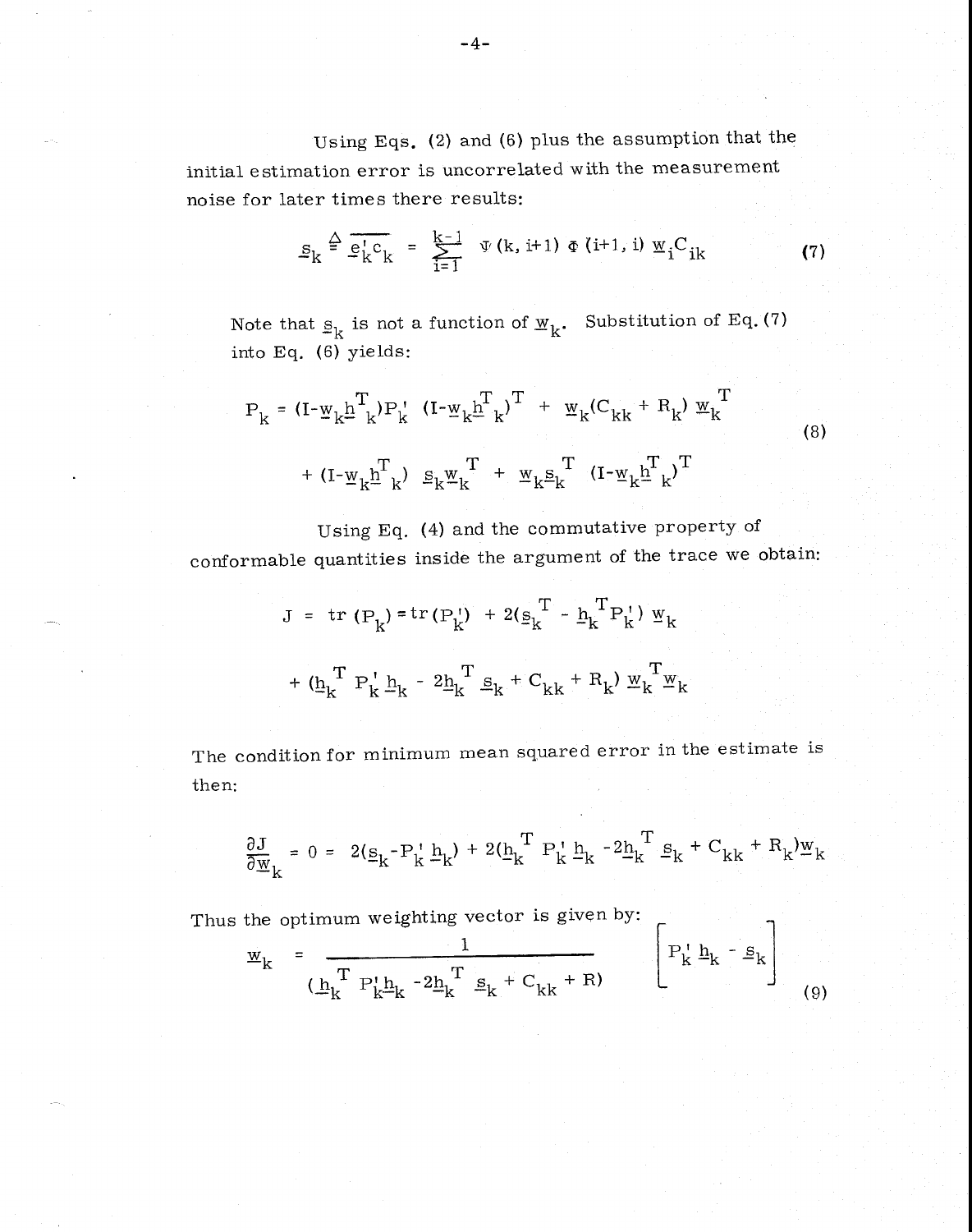Using Eqs. (2) and (6) plus the assumption that the initial estimation error is uncorrelated with the measurement noise for later times there results:

$$
S_{k} \stackrel{\Delta}{=} \overline{e_{k}^{\dagger} c_{k}} = \sum_{i=1}^{k-1} \Psi(k, i+1) \Phi(i+1, i) \Psi_{i} C_{ik}
$$
 (7)

Note that  $s_k$  is not a function of  $w_k$ . Substitution of Eq. (7) into Eq. (6) yields:

$$
P_{k} = (I - \underline{w}_{k} \underline{h}_{k}^{T}) P_{k}^{T} (I - \underline{w}_{k} \underline{h}_{k}^{T})^{T} + \underline{w}_{k} (C_{kk} + R_{k}) \underline{w}_{k}^{T}
$$
  
+ 
$$
(I - \underline{w}_{k} \underline{h}_{k}^{T}) \underline{s}_{k} \underline{w}_{k}^{T} + \underline{w}_{k} \underline{s}_{k}^{T} (I - \underline{w}_{k} \underline{h}_{k}^{T})^{T}
$$
 (8)

Using Eq. (4) and the commutative property of

conformable quantities inside the argument of the trace we obtain:

$$
J = tr (P_{k}) = tr (P_{k}^{+}) + 2(g_{k}^{T} - h_{k}^{T} P_{k}^{+}) w_{k}
$$

$$
+ (h_{k}^{T} P_{k}^{+} h_{k} - 2h_{k}^{T} g_{k} + C_{kk} + R_{k}) w_{k}^{T} w_{k}
$$

The condition for minimum mean squared error in the estimate is then:

$$
\frac{\partial J}{\partial \underline{w}}_k = 0 = 2(\underline{s}_k - P_k^{\top} \underline{h}_k) + 2(\underline{h}_k^T P_k^{\top} \underline{h}_k - 2\underline{h}_k^T \underline{s}_k + C_{kk} + R_k^{\top})\underline{w}_k
$$

Thus the optimum weighting vector is given by:

$$
\mathbf{w}_{k} = \frac{1}{(\underline{\mathbf{h}}_{k}^{T} \ \mathbf{P}_{k}^{\mathsf{T}} \underline{\mathbf{h}}_{k} - 2\underline{\mathbf{h}}_{k}^{T} \ \underline{\mathbf{s}}_{k} + \mathbf{C}_{kk} + \mathbf{R})} \qquad \left[ \mathbf{P}_{k}^{\mathsf{T}} \underline{\mathbf{h}}_{k} - \underline{\mathbf{s}}_{k} \right] \tag{9}
$$

 $\overline{1}$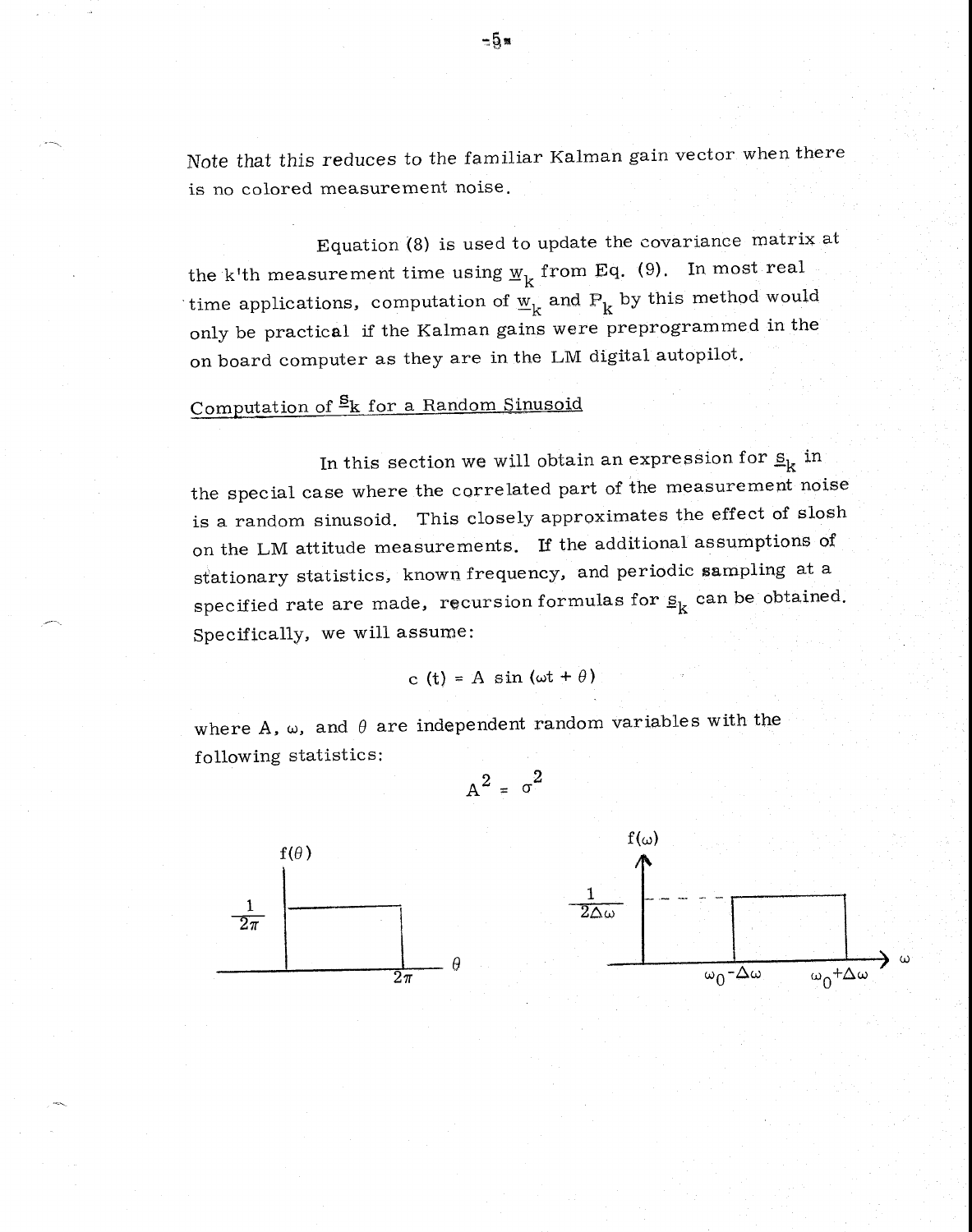Note that this reduces to the familiar Kalman gain vector when there is no colored measurement noise.

Equation (8) is used to update the covariance matrix at the k'th measurement time using  $w_k$  from Eq. (9). In most real time applications, computation of  $\mathbf{w}_{\mathbf{k}}$  and  $\mathbf{P}_{\mathbf{k}}$  by this method would only be practical if the Kalman gains were preprogrammed in the on board computer as they are in the LM digital autopilot.

# Computation of  $\frac{S_k}{s}$  for a Random Sinusoid

In this section we will obtain an expression for  $\underline{s}_k$  in the special case where the correlated part of the measurement noise is a random sinusoid. This closely approximates the effect of slosh on the LM attitude measurements. If the additional assumptions of stationary statistics, known frequency, and periodic sampling at a specified rate are made, recursion formulas for  $s_k$  can be obtained. Specifically, we will assume:

c (t) = A sin (ωt + 
$$
\theta
$$
)

 $A^2 = \sigma^2$ 

where A,  $\omega$ , and  $\theta$  are independent random variables with the following statistics:



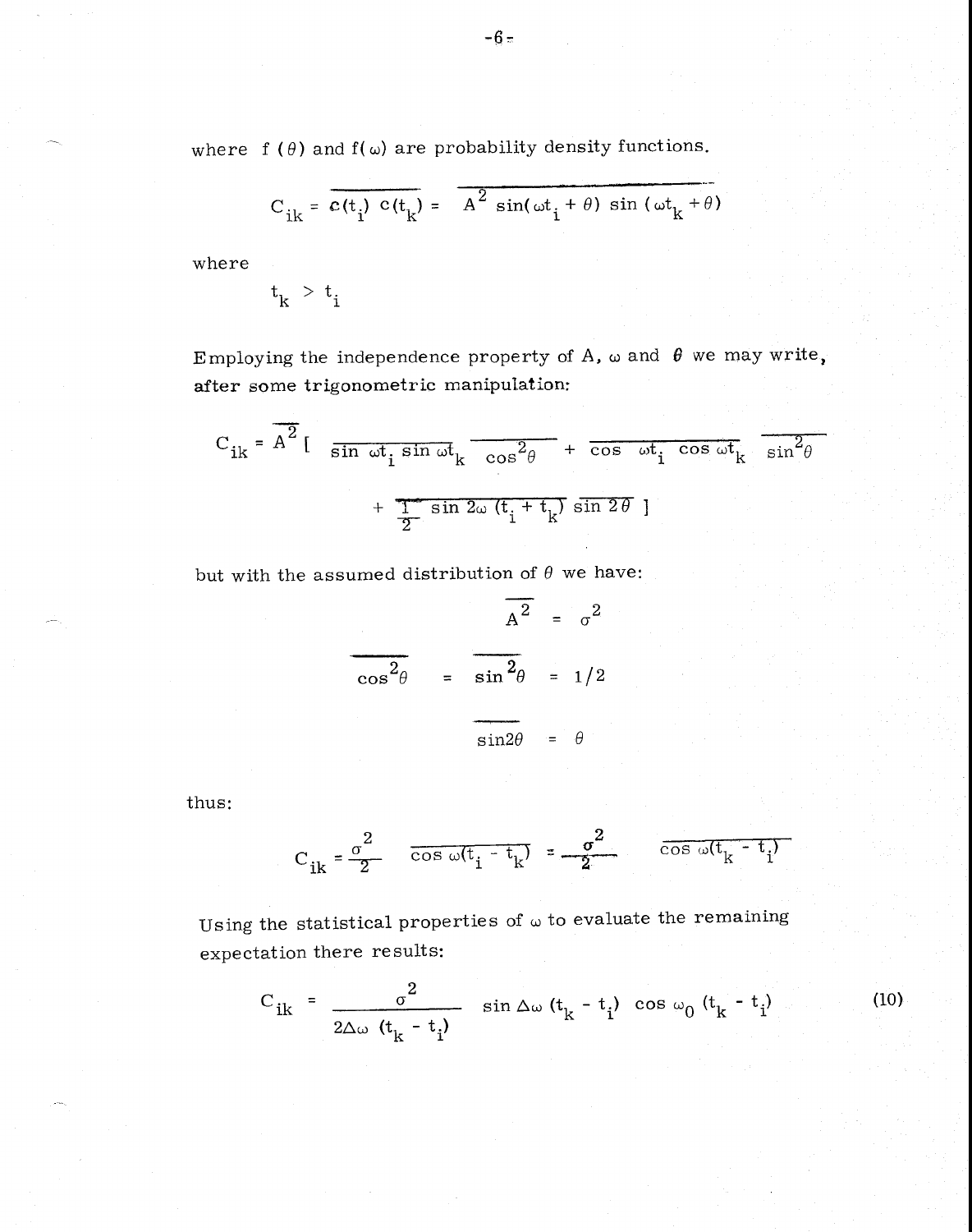where  $f(\theta)$  and  $f(\omega)$  are probability density functions.

$$
C_{ik} = \overline{c(t_i) c(t_k)} = \overline{A^2 \sin(\omega t_i + \theta) \sin(\omega t_k + \theta)}
$$

where

$$
t_k^{\phantom{+}} > t_i^{\phantom{+}}
$$

Employing the independence property of A,  $\omega$  and  $\theta$  we may write, after some trigonometric manipulation:

$$
C_{ik} = \overline{A^2} \left[ \overline{\sin \omega t_i \sin \omega t_k} \overline{\cos^2 \theta} + \overline{\cos \omega t_i \cos \omega t_k} \overline{\sin^2 \theta} + \overline{\cos \omega t_i \sin^2 \theta} \right]
$$

but with the assumed distribution of  $\theta$  we have:

$$
\frac{a^2}{\cos^2 \theta} = \frac{a^2}{\sin^2 \theta} = \frac{1}{2}
$$
  

$$
\frac{a}{\sin 2\theta} = \theta
$$

thus:

$$
C_{ik} = \frac{\sigma^2}{2} \qquad \frac{1}{\cos \omega (t_i - t_k)} = \frac{\sigma^2}{2} \qquad \frac{1}{\cos \omega (t_k - t_i)}
$$

Using the statistical properties of  $\omega$  to evaluate the remaining expectation there results:

$$
C_{ik} = \frac{\sigma^2}{2\Delta\omega (t_k - t_i)}
$$
 sin  $\Delta\omega (t_k - t_i)$  cos  $\omega_0 (t_k - t_i)$  (10)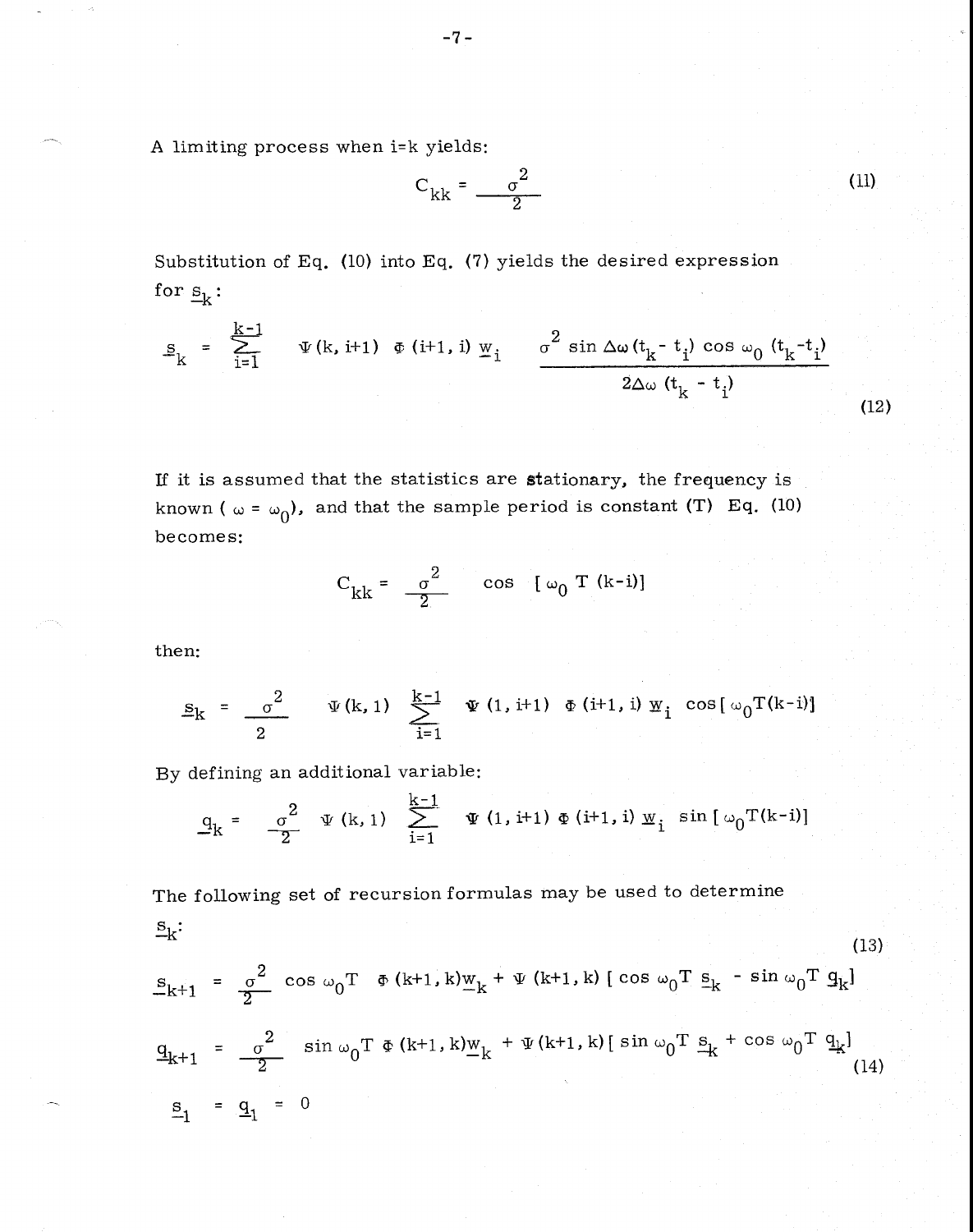A limiting process when i=k yields:

$$
C_{kk} = \frac{\sigma^2}{2}
$$
 (11)

Substitution of Eq. (10) into Eq. (7) yields the desired expression for  $s_k$ :

$$
s_{k} = \sum_{i=1}^{k-1} \Psi(k, i+1) \Phi(i+1, i) \Psi_{i} \frac{\sigma^{2} \sin \Delta \omega (t_{k} - t_{i}) \cos \omega_{0} (t_{k} - t_{i})}{2\Delta \omega (t_{k} - t_{i})}
$$
(12)

If it is assumed that the statistics are stationary, the frequency is known (  $\omega$  =  $\omega_0$ ), and that the sample period is constant (T) Eq. (10) becomes:

$$
C_{kk} = \frac{\sigma^2}{2} \qquad \cos \quad [\omega_0 T (k-i)]
$$

then:

$$
\underline{s}_{k} = \frac{\sigma^{2}}{2} \qquad \Psi(k, 1) \sum_{i=1}^{k-1} \Psi(1, i+1) \Phi(i+1, i) \Psi_{i} \cos[\omega_{0}T(k-i)]
$$

By defining an additional variable:

$$
\underline{q}_{k} = -\frac{\sigma^{2}}{2} \quad \Psi (k, 1) \quad \sum_{i=1}^{k-1} \quad \Psi (1, i+1) \Phi (i+1, i) \; \Psi_{i} \quad \sin \left[ \; \omega_{0} T(k-i) \right]
$$

The following set of recursion formulas may be used to determine  $S_k$ :

$$
S_{k+1} = \frac{\sigma^2}{2} \cos \omega_0 T \Phi(k+1, k) w_k + \Psi(k+1, k) [\cos \omega_0 T S_k - \sin \omega_0 T g_k]
$$
\n
$$
= \frac{q_{k+1}}{2} = \frac{\sigma^2}{2} \sin \omega_0 T \Phi(k+1, k) w_k + \Psi(k+1, k) [\sin \omega_0 T S_k + \cos \omega_0 T g_k]
$$
\n
$$
= \frac{q_1}{2} = 0
$$
\n(14)